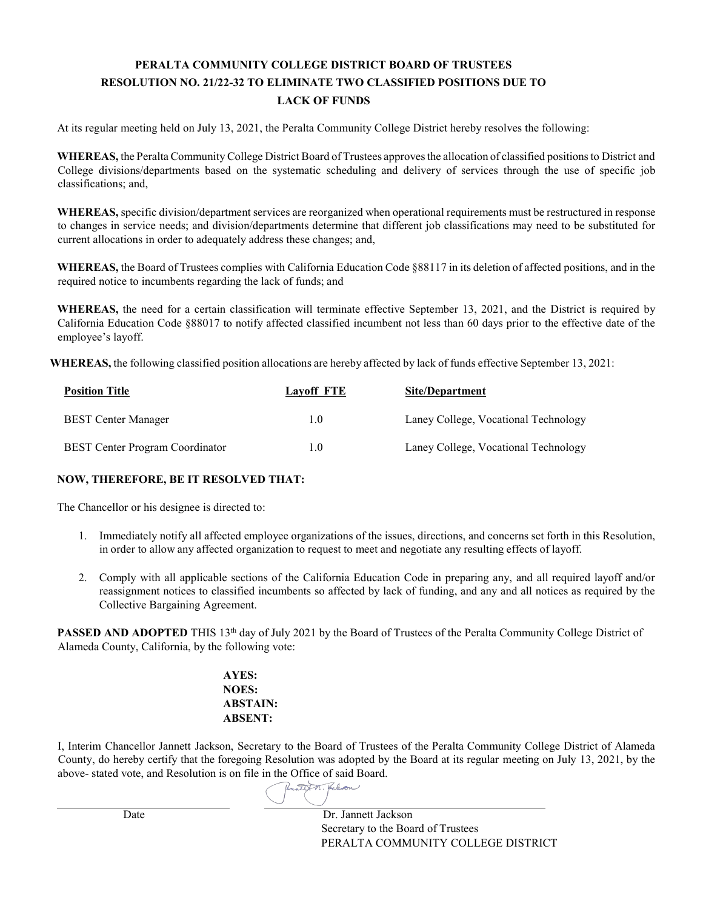## **PERALTA COMMUNITY COLLEGE DISTRICT BOARD OF TRUSTEES RESOLUTION NO. 21/22-32 TO ELIMINATE TWO CLASSIFIED POSITIONS DUE TO LACK OF FUNDS**

At its regular meeting held on July 13, 2021, the Peralta Community College District hereby resolves the following:

**WHEREAS,** the Peralta Community College District Board of Trustees approvesthe allocation of classified positionsto District and College divisions/departments based on the systematic scheduling and delivery of services through the use of specific job classifications; and,

**WHEREAS,** specific division/department services are reorganized when operational requirements must be restructured in response to changes in service needs; and division/departments determine that different job classifications may need to be substituted for current allocations in order to adequately address these changes; and,

**WHEREAS,** the Board of Trustees complies with California Education Code §88117 in its deletion of affected positions, and in the required notice to incumbents regarding the lack of funds; and

**WHEREAS,** the need for a certain classification will terminate effective September 13, 2021, and the District is required by California Education Code §88017 to notify affected classified incumbent not less than 60 days prior to the effective date of the employee's layoff.

**WHEREAS,** the following classified position allocations are hereby affected by lack of funds effective September 13, 2021:

| <b>Position Title</b>                  | Lavoff FTE    | Site/Department                      |
|----------------------------------------|---------------|--------------------------------------|
| <b>BEST Center Manager</b>             | 1.0           | Laney College, Vocational Technology |
| <b>BEST</b> Center Program Coordinator | $1.0^{\circ}$ | Laney College, Vocational Technology |

## **NOW, THEREFORE, BE IT RESOLVED THAT:**

The Chancellor or his designee is directed to:

- 1. Immediately notify all affected employee organizations of the issues, directions, and concerns set forth in this Resolution, in order to allow any affected organization to request to meet and negotiate any resulting effects of layoff.
- 2. Comply with all applicable sections of the California Education Code in preparing any, and all required layoff and/or reassignment notices to classified incumbents so affected by lack of funding, and any and all notices as required by the Collective Bargaining Agreement.

**PASSED AND ADOPTED** THIS 13<sup>th</sup> day of July 2021 by the Board of Trustees of the Peralta Community College District of Alameda County, California, by the following vote:

> **AYES: NOES: ABSTAIN: ABSENT:**

I, Interim Chancellor Jannett Jackson, Secretary to the Board of Trustees of the Peralta Community College District of Alameda County, do hereby certify that the foregoing Resolution was adopted by the Board at its regular meeting on July 13, 2021, by the above- stated vote, and Resolution is on file [in the Office of said Board.](https://adobefreeuserschannel.na2.documents.adobe.com/verifier?tx=CBJCHBCAABAAOCg4D9ySGNqloKMVHfLwjDMSDnG08VR3)

Rentist M. Relign

Date Dr. Jannett Jackson Secretary to the Board of Trustees PERALTA COMMUNITY COLLEGE DISTRICT